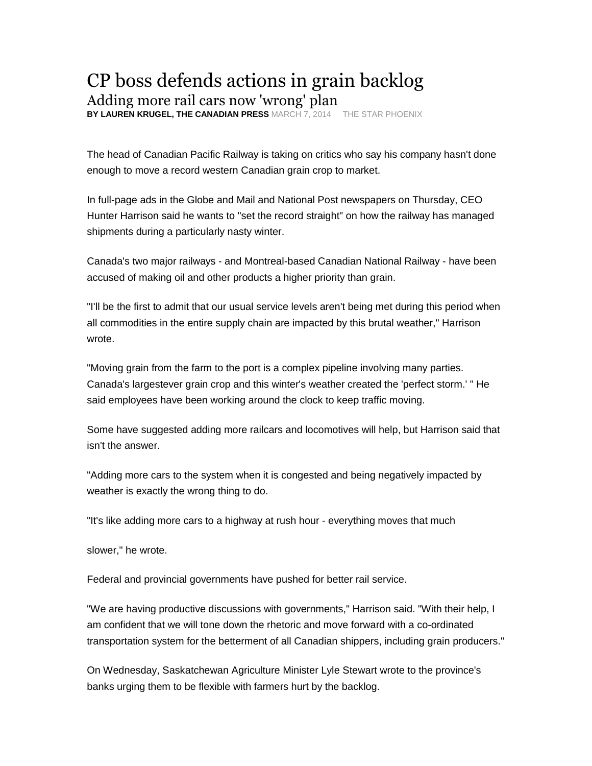## CP boss defends actions in grain backlog

Adding more rail cars now 'wrong' plan

**BY LAUREN KRUGEL, THE CANADIAN PRESS** MARCH 7, 2014 THE STAR PHOENIX

The head of Canadian Pacific Railway is taking on critics who say his company hasn't done enough to move a record western Canadian grain crop to market.

In full-page ads in the Globe and Mail and National Post newspapers on Thursday, CEO Hunter Harrison said he wants to "set the record straight" on how the railway has managed shipments during a particularly nasty winter.

Canada's two major railways - and Montreal-based Canadian National Railway - have been accused of making oil and other products a higher priority than grain.

"I'll be the first to admit that our usual service levels aren't being met during this period when all commodities in the entire supply chain are impacted by this brutal weather," Harrison wrote.

"Moving grain from the farm to the port is a complex pipeline involving many parties. Canada's largestever grain crop and this winter's weather created the 'perfect storm.' " He said employees have been working around the clock to keep traffic moving.

Some have suggested adding more railcars and locomotives will help, but Harrison said that isn't the answer.

"Adding more cars to the system when it is congested and being negatively impacted by weather is exactly the wrong thing to do.

"It's like adding more cars to a highway at rush hour - everything moves that much

slower," he wrote.

Federal and provincial governments have pushed for better rail service.

"We are having productive discussions with governments," Harrison said. "With their help, I am confident that we will tone down the rhetoric and move forward with a co-ordinated transportation system for the betterment of all Canadian shippers, including grain producers."

On Wednesday, Saskatchewan Agriculture Minister Lyle Stewart wrote to the province's banks urging them to be flexible with farmers hurt by the backlog.